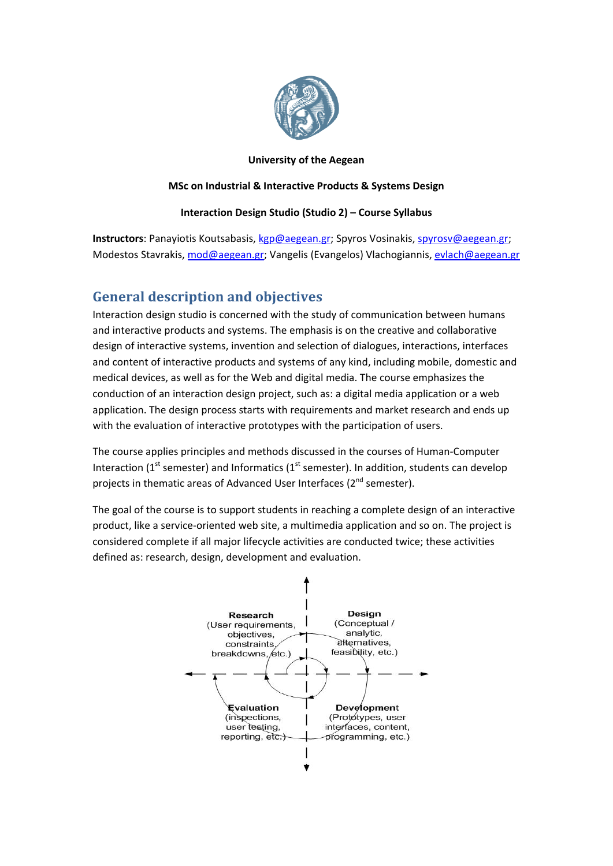

### **University of the Aegean**

#### **MSc on Industrial & Interactive Products & Systems Design**

### **Interaction Design Studio (Studio 2) – Course Syllabus**

**Instructors**: Panayiotis Koutsabasis, [kgp@aegean.gr](mailto:kgp@aegean.gr); Spyros Vosinakis, [spyrosv@aegean.gr;](mailto:spyrosv@aegean.gr) Modestos Stavrakis, [mod@aegean.gr](mailto:mod@aegean.gr); Vangelis (Evangelos) Vlachogiannis, [evlach@aegean.gr](mailto:evlach@aegean.gr)

### **General description and objectives**

Interaction design studio is concerned with the study of communication between humans and interactive products and systems. The emphasis is on the creative and collaborative design of interactive systems, invention and selection of dialogues, interactions, interfaces and content of interactive products and systems of any kind, including mobile, domestic and medical devices, as well as for the Web and digital media. The course emphasizes the conduction of an interaction design project, such as: a digital media application or a web application. The design process starts with requirements and market research and ends up with the evaluation of interactive prototypes with the participation of users.

The course applies principles and methods discussed in the courses of Human‐Computer Interaction ( $1<sup>st</sup>$  semester) and Informatics ( $1<sup>st</sup>$  semester). In addition, students can develop projects in thematic areas of Advanced User Interfaces (2<sup>nd</sup> semester).

The goal of the course is to support students in reaching a complete design of an interactive product, like a service‐oriented web site, a multimedia application and so on. The project is considered complete if all major lifecycle activities are conducted twice; these activities defined as: research, design, development and evaluation.

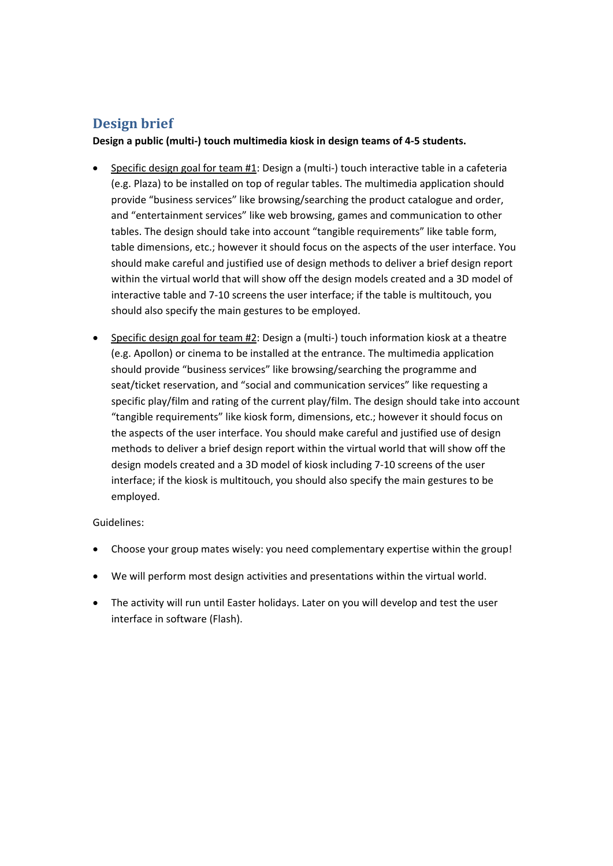## **Design brief**

**Design a public (multi‐) touch multimedia kiosk in design teams of 4‐5 students.** 

- Specific design goal for team #1: Design a (multi‐) touch interactive table in a cafeteria (e.g. Plaza) to be installed on top of regular tables. The multimedia application should provide "business services" like browsing/searching the product catalogue and order, and "entertainment services" like web browsing, games and communication to other tables. The design should take into account "tangible requirements" like table form, table dimensions, etc.; however it should focus on the aspects of the user interface. You should make careful and justified use of design methods to deliver a brief design report within the virtual world that will show off the design models created and a 3D model of interactive table and 7‐10 screens the user interface; if the table is multitouch, you should also specify the main gestures to be employed.
- Specific design goal for team #2: Design a (multi‐) touch information kiosk at a theatre (e.g. Apollon) or cinema to be installed at the entrance. The multimedia application should provide "business services" like browsing/searching the programme and seat/ticket reservation, and "social and communication services" like requesting a specific play/film and rating of the current play/film. The design should take into account "tangible requirements" like kiosk form, dimensions, etc.; however it should focus on the aspects of the user interface. You should make careful and justified use of design methods to deliver a brief design report within the virtual world that will show off the design models created and a 3D model of kiosk including 7‐10 screens of the user interface; if the kiosk is multitouch, you should also specify the main gestures to be employed.

### Guidelines:

- Choose your group mates wisely: you need complementary expertise within the group!
- We will perform most design activities and presentations within the virtual world.
- The activity will run until Easter holidays. Later on you will develop and test the user interface in software (Flash).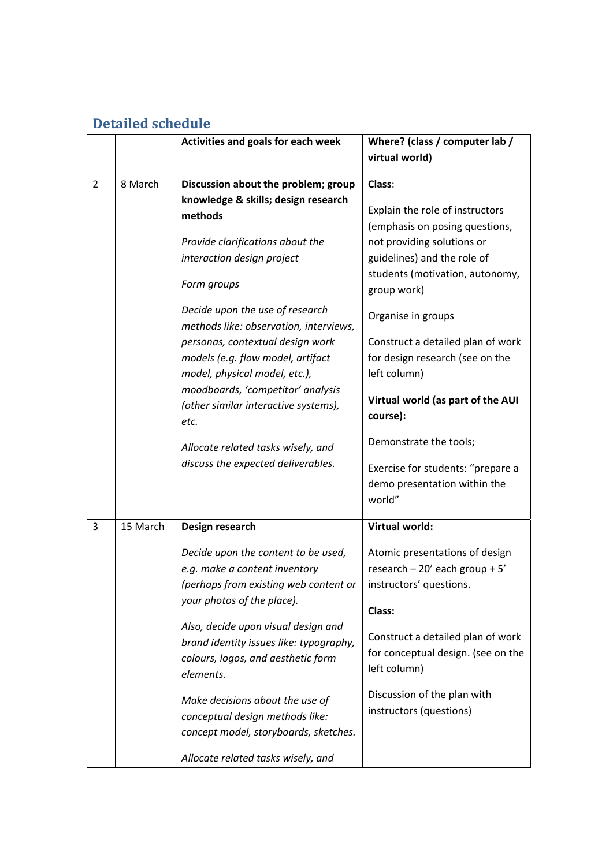# **Detailed schedule**

|                |          | Activities and goals for each week                                                                                                                                                                                                                                                                                                                                                                                                                                                      | Where? (class / computer lab /                                                                                                                                                                                                                                                                                                                                                                                 |
|----------------|----------|-----------------------------------------------------------------------------------------------------------------------------------------------------------------------------------------------------------------------------------------------------------------------------------------------------------------------------------------------------------------------------------------------------------------------------------------------------------------------------------------|----------------------------------------------------------------------------------------------------------------------------------------------------------------------------------------------------------------------------------------------------------------------------------------------------------------------------------------------------------------------------------------------------------------|
|                |          |                                                                                                                                                                                                                                                                                                                                                                                                                                                                                         | virtual world)                                                                                                                                                                                                                                                                                                                                                                                                 |
|                |          |                                                                                                                                                                                                                                                                                                                                                                                                                                                                                         |                                                                                                                                                                                                                                                                                                                                                                                                                |
| $\overline{2}$ | 8 March  | Discussion about the problem; group                                                                                                                                                                                                                                                                                                                                                                                                                                                     | Class:                                                                                                                                                                                                                                                                                                                                                                                                         |
|                |          | knowledge & skills; design research<br>methods<br>Provide clarifications about the<br>interaction design project<br>Form groups<br>Decide upon the use of research<br>methods like: observation, interviews,<br>personas, contextual design work<br>models (e.g. flow model, artifact<br>model, physical model, etc.),<br>moodboards, 'competitor' analysis<br>(other similar interactive systems),<br>etc.<br>Allocate related tasks wisely, and<br>discuss the expected deliverables. | Explain the role of instructors<br>(emphasis on posing questions,<br>not providing solutions or<br>guidelines) and the role of<br>students (motivation, autonomy,<br>group work)<br>Organise in groups<br>Construct a detailed plan of work<br>for design research (see on the<br>left column)<br>Virtual world (as part of the AUI<br>course):<br>Demonstrate the tools;<br>Exercise for students: "prepare a |
|                |          |                                                                                                                                                                                                                                                                                                                                                                                                                                                                                         | demo presentation within the<br>world"                                                                                                                                                                                                                                                                                                                                                                         |
| 3              | 15 March | Design research                                                                                                                                                                                                                                                                                                                                                                                                                                                                         | <b>Virtual world:</b>                                                                                                                                                                                                                                                                                                                                                                                          |
|                |          | Decide upon the content to be used,<br>e.g. make a content inventory<br>(perhaps from existing web content or<br>your photos of the place).<br>Also, decide upon visual design and<br>brand identity issues like: typography,<br>colours, logos, and aesthetic form                                                                                                                                                                                                                     | Atomic presentations of design<br>research $-20'$ each group + 5'<br>instructors' questions.<br>Class:<br>Construct a detailed plan of work<br>for conceptual design. (see on the                                                                                                                                                                                                                              |
|                |          | elements.<br>Make decisions about the use of<br>conceptual design methods like:<br>concept model, storyboards, sketches.<br>Allocate related tasks wisely, and                                                                                                                                                                                                                                                                                                                          | left column)<br>Discussion of the plan with<br>instructors (questions)                                                                                                                                                                                                                                                                                                                                         |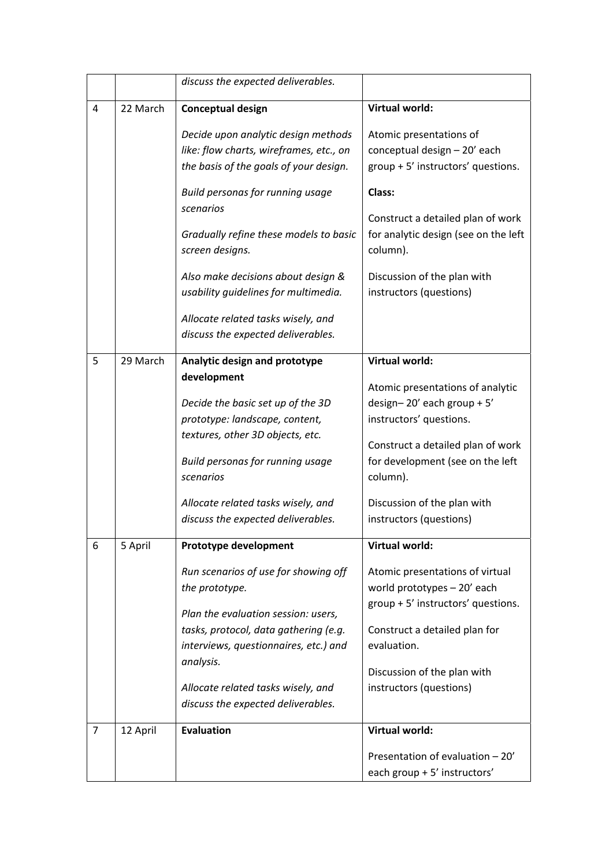|                |          | discuss the expected deliverables.                                                                                                                                                                                                                                                                |                                                                                                                                                                                                                                                                     |
|----------------|----------|---------------------------------------------------------------------------------------------------------------------------------------------------------------------------------------------------------------------------------------------------------------------------------------------------|---------------------------------------------------------------------------------------------------------------------------------------------------------------------------------------------------------------------------------------------------------------------|
| 4              | 22 March | <b>Conceptual design</b>                                                                                                                                                                                                                                                                          | <b>Virtual world:</b>                                                                                                                                                                                                                                               |
|                |          | Decide upon analytic design methods<br>like: flow charts, wireframes, etc., on<br>the basis of the goals of your design.<br>Build personas for running usage                                                                                                                                      | Atomic presentations of<br>conceptual design - 20' each<br>group + 5' instructors' questions.<br>Class:                                                                                                                                                             |
|                |          | scenarios<br>Gradually refine these models to basic<br>screen designs.<br>Also make decisions about design &<br>usability guidelines for multimedia.<br>Allocate related tasks wisely, and                                                                                                        | Construct a detailed plan of work<br>for analytic design (see on the left<br>column).<br>Discussion of the plan with<br>instructors (questions)                                                                                                                     |
|                |          | discuss the expected deliverables.                                                                                                                                                                                                                                                                |                                                                                                                                                                                                                                                                     |
| 5              | 29 March | Analytic design and prototype<br>development<br>Decide the basic set up of the 3D<br>prototype: landscape, content,<br>textures, other 3D objects, etc.<br>Build personas for running usage<br>scenarios<br>Allocate related tasks wisely, and<br>discuss the expected deliverables.              | <b>Virtual world:</b><br>Atomic presentations of analytic<br>design-20' each group + $5'$<br>instructors' questions.<br>Construct a detailed plan of work<br>for development (see on the left<br>column).<br>Discussion of the plan with<br>instructors (questions) |
| 6              | 5 April  | Prototype development<br>Run scenarios of use for showing off<br>the prototype.<br>Plan the evaluation session: users,<br>tasks, protocol, data gathering (e.g.<br>interviews, questionnaires, etc.) and<br>analysis.<br>Allocate related tasks wisely, and<br>discuss the expected deliverables. | <b>Virtual world:</b><br>Atomic presentations of virtual<br>world prototypes - 20' each<br>group + 5' instructors' questions.<br>Construct a detailed plan for<br>evaluation.<br>Discussion of the plan with<br>instructors (questions)                             |
| $\overline{7}$ | 12 April | <b>Evaluation</b>                                                                                                                                                                                                                                                                                 | <b>Virtual world:</b><br>Presentation of evaluation - 20'<br>each group + 5' instructors'                                                                                                                                                                           |